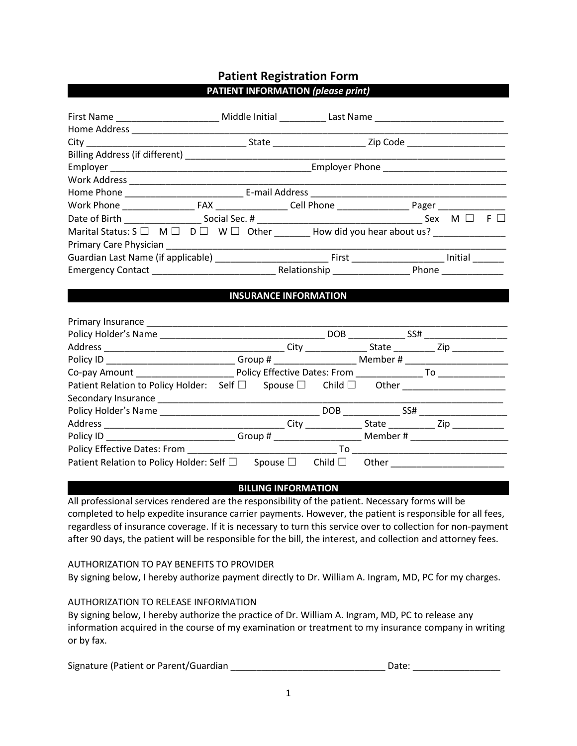# **Patient Registration Form PATIENT INFORMATION** *(please print)*

| First Name ____________________________ Middle Initial _____________ Last Name ___________________________   |                              |  |  |  |
|--------------------------------------------------------------------------------------------------------------|------------------------------|--|--|--|
|                                                                                                              |                              |  |  |  |
|                                                                                                              |                              |  |  |  |
|                                                                                                              |                              |  |  |  |
|                                                                                                              |                              |  |  |  |
|                                                                                                              |                              |  |  |  |
|                                                                                                              |                              |  |  |  |
|                                                                                                              |                              |  |  |  |
|                                                                                                              |                              |  |  |  |
| Marital Status: S $\Box$ M $\Box$ D $\Box$ W $\Box$ Other ________ How did you hear about us? ______________ |                              |  |  |  |
|                                                                                                              |                              |  |  |  |
|                                                                                                              |                              |  |  |  |
|                                                                                                              |                              |  |  |  |
|                                                                                                              |                              |  |  |  |
|                                                                                                              | <b>INSURANCE INFORMATION</b> |  |  |  |
|                                                                                                              |                              |  |  |  |
|                                                                                                              |                              |  |  |  |
|                                                                                                              |                              |  |  |  |
|                                                                                                              |                              |  |  |  |
| Policy ID ____________________________Group # __________________________Member # ___________________         |                              |  |  |  |
|                                                                                                              |                              |  |  |  |
| Patient Relation to Policy Holder: Self □ Spouse □ Child □ Other _______________                             |                              |  |  |  |
|                                                                                                              |                              |  |  |  |
|                                                                                                              |                              |  |  |  |
|                                                                                                              |                              |  |  |  |
|                                                                                                              |                              |  |  |  |
|                                                                                                              |                              |  |  |  |
| Patient Relation to Policy Holder: Self □ Spouse □ Child □ Other _______________                             |                              |  |  |  |

### **BILLING INFORMATION**

All professional services rendered are the responsibility of the patient. Necessary forms will be completed to help expedite insurance carrier payments. However, the patient is responsible for all fees, regardless of insurance coverage. If it is necessary to turn this service over to collection for non-payment after 90 days, the patient will be responsible for the bill, the interest, and collection and attorney fees.

### AUTHORIZATION TO PAY BENEFITS TO PROVIDER

By signing below, I hereby authorize payment directly to Dr. William A. Ingram, MD, PC for my charges.

### AUTHORIZATION TO RELEASE INFORMATION

By signing below, I hereby authorize the practice of Dr. William A. Ingram, MD, PC to release any information acquired in the course of my examination or treatment to my insurance company in writing or by fax.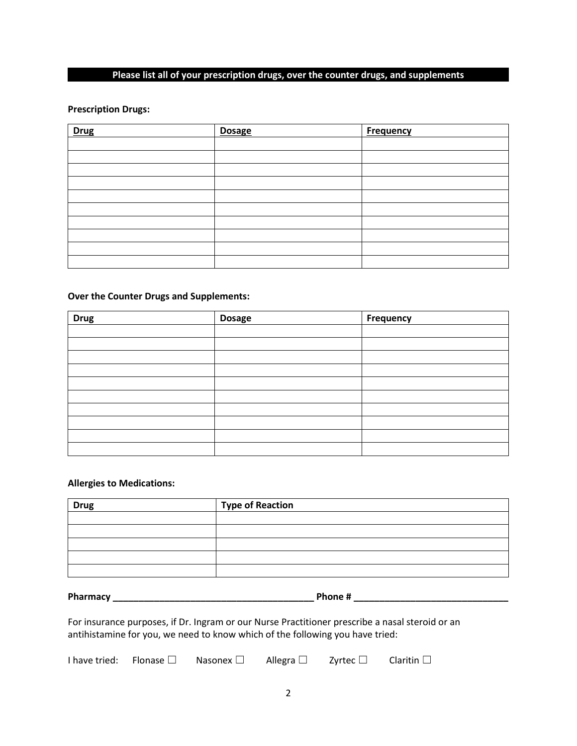### **Please list all of your prescription drugs, over the counter drugs, and supplements**

### **Prescription Drugs:**

| <b>Drug</b> | <b>Dosage</b> | <b>Frequency</b> |
|-------------|---------------|------------------|
|             |               |                  |
|             |               |                  |
|             |               |                  |
|             |               |                  |
|             |               |                  |
|             |               |                  |
|             |               |                  |
|             |               |                  |
|             |               |                  |
|             |               |                  |

### **Over the Counter Drugs and Supplements:**

| <b>Drug</b> | <b>Dosage</b> | <b>Frequency</b> |
|-------------|---------------|------------------|
|             |               |                  |
|             |               |                  |
|             |               |                  |
|             |               |                  |
|             |               |                  |
|             |               |                  |
|             |               |                  |
|             |               |                  |
|             |               |                  |
|             |               |                  |

#### **Allergies to Medications:**

| <b>Drug</b> | Type of Reaction |
|-------------|------------------|
|             |                  |
|             |                  |
|             |                  |
|             |                  |
|             |                  |

**Pharmacy \_\_\_\_\_\_\_\_\_\_\_\_\_\_\_\_\_\_\_\_\_\_\_\_\_\_\_\_\_\_\_\_\_\_\_\_\_\_\_ Phone # \_\_\_\_\_\_\_\_\_\_\_\_\_\_\_\_\_\_\_\_\_\_\_\_\_\_\_\_\_\_**

For insurance purposes, if Dr. Ingram or our Nurse Practitioner prescribe a nasal steroid or an antihistamine for you, we need to know which of the following you have tried:

I have tried: Flonase □ Nasonex □ Allegra □ Zyrtec □ Claritin □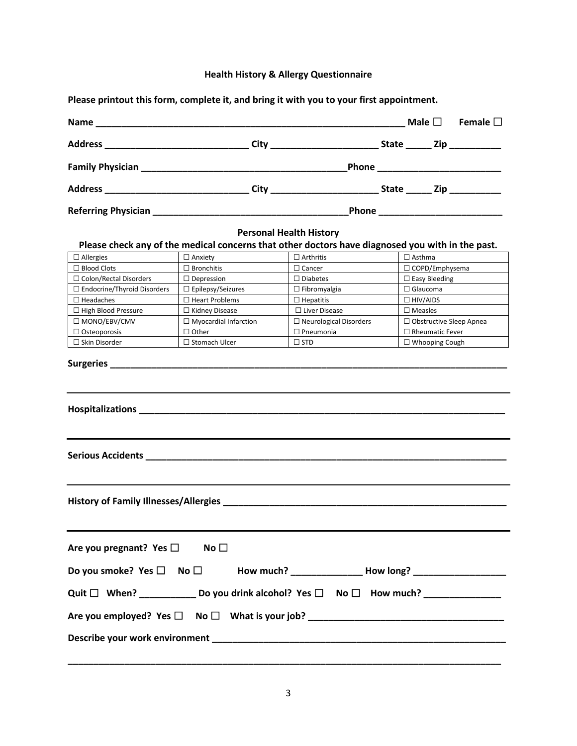# **Health History & Allergy Questionnaire**

| Please printout this form, complete it, and bring it with you to your first appointment.               |                                                                                                      |                                |  |                                |                  |
|--------------------------------------------------------------------------------------------------------|------------------------------------------------------------------------------------------------------|--------------------------------|--|--------------------------------|------------------|
|                                                                                                        | Name $\Box$                                                                                          |                                |  |                                | Female $\square$ |
|                                                                                                        |                                                                                                      |                                |  |                                |                  |
|                                                                                                        |                                                                                                      |                                |  |                                |                  |
|                                                                                                        | Address ________________________________City ___________________________State ______ Zip ___________ |                                |  |                                |                  |
|                                                                                                        |                                                                                                      |                                |  |                                |                  |
|                                                                                                        |                                                                                                      | <b>Personal Health History</b> |  |                                |                  |
|                                                                                                        | Please check any of the medical concerns that other doctors have diagnosed you with in the past.     |                                |  |                                |                  |
| $\Box$ Allergies                                                                                       | $\Box$ Anxiety                                                                                       | $\Box$ Arthritis               |  | $\Box$ Asthma                  |                  |
| $\Box$ Blood Clots                                                                                     | $\Box$ Bronchitis                                                                                    | $\Box$ Cancer                  |  | □ COPD/Emphysema               |                  |
| $\Box$ Colon/Rectal Disorders                                                                          | $\Box$ Depression                                                                                    | $\Box$ Diabetes                |  | $\Box$ Easy Bleeding           |                  |
| $\Box$ Endocrine/Thyroid Disorders                                                                     | □ Epilepsy/Seizures                                                                                  | $\Box$ Fibromyalgia            |  | $\Box$ Glaucoma                |                  |
| $\Box$ Headaches                                                                                       | $\Box$ Heart Problems                                                                                | $\Box$ Hepatitis               |  | $\Box$ HIV/AIDS                |                  |
| $\Box$ High Blood Pressure                                                                             | $\Box$ Kidney Disease                                                                                | □ Liver Disease                |  | $\Box$ Measles                 |                  |
| □ MONO/EBV/CMV                                                                                         | $\Box$ Myocardial Infarction                                                                         | $\Box$ Neurological Disorders  |  | $\Box$ Obstructive Sleep Apnea |                  |
| $\Box$ Osteoporosis                                                                                    | $\Box$ Other                                                                                         | $\Box$ Pneumonia               |  | $\Box$ Rheumatic Fever         |                  |
| $\Box$ Skin Disorder                                                                                   | $\Box$ Stomach Ulcer                                                                                 | $\square$ STD                  |  | $\Box$ Whooping Cough          |                  |
|                                                                                                        |                                                                                                      |                                |  |                                |                  |
| <b>History of Family Illnesses/Allergies</b>                                                           |                                                                                                      |                                |  |                                |                  |
| Are you pregnant? Yes $\square$ No $\square$                                                           |                                                                                                      |                                |  |                                |                  |
|                                                                                                        |                                                                                                      |                                |  |                                |                  |
| Quit $\Box$ When? ______________ Do you drink alcohol? Yes $\Box$ No $\Box$ How much? ________________ |                                                                                                      |                                |  |                                |                  |
|                                                                                                        |                                                                                                      |                                |  |                                |                  |
|                                                                                                        |                                                                                                      |                                |  |                                |                  |
|                                                                                                        |                                                                                                      |                                |  |                                |                  |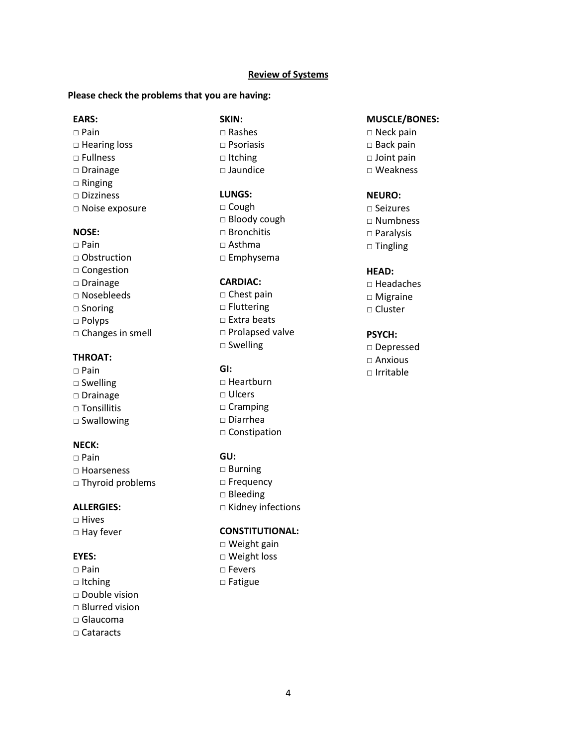### **Review of Systems**

#### **Please check the problems that you are having:**

#### **EARS:**

 $\Box$  Pain □ Hearing loss □ Fullness □ Drainage □ Ringing □ Dizziness □ Noise exposure

### **NOSE:**

 $\Box$  Pain □ Obstruction □ Congestion □ Drainage □ Nosebleeds □ Snoring □ Polyps □ Changes in smell

# **THROAT:**

- □ Pain
- □ Swelling
- □ Drainage
- □ Tonsillitis
- □ Swallowing

### **NECK:**

 $\Box$  Pain □ Hoarseness □ Thyroid problems

#### **ALLERGIES:**

□ Hives □ Hay fever

### **EYES:**

- □ Pain
- □ Itching
- □ Double vision
- □ Blurred vision
- $\Box$  Glaucoma
- □ Cataracts

**SKIN:**  $\Box$  Rashes □ Psoriasis □ Itching □ Jaundice

### **LUNGS:**

□ Cough □ Bloody cough  $\Box$  Bronchitis  $\Box$  Asthma □ Emphysema

#### **CARDIAC:**

□ Chest pain □ Fluttering □ Extra beats □ Prolapsed valve □ Swelling

### **GI:**

□ Heartburn □ Ulcers □ Cramping □ Diarrhea □ Constipation

#### **GU:**

□ Burning □ Frequency □ Bleeding □ Kidney infections

### **CONSTITUTIONAL:**

□ Weight gain □ Weight loss □ Fevers □ Fatigue

### **MUSCLE/BONES:**

- □ Neck pain □ Back pain □ Joint pain
- □ Weakness

### **NEURO:**

□ Seizures □ Numbness □ Paralysis □ Tingling

### **HEAD:**

□ Headaches □ Migraine □ Cluster

#### **PSYCH:**

□ Depressed □ Anxious □ Irritable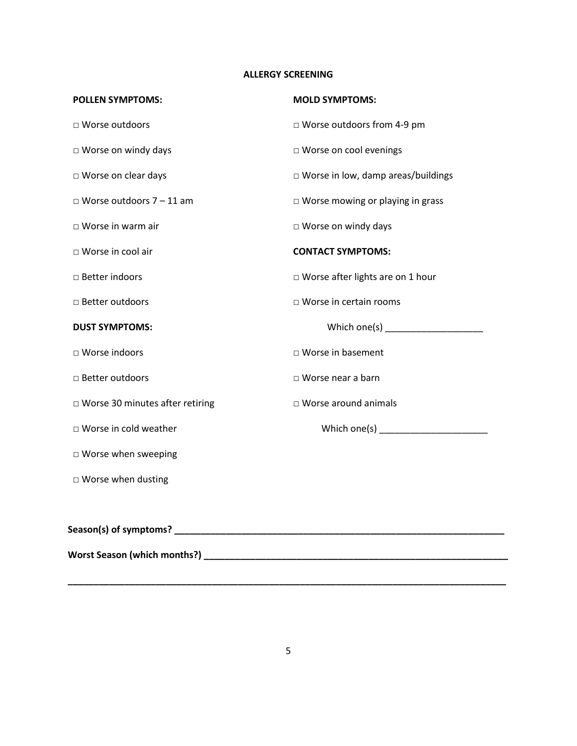# **ALLERGY SCREENING**

| <b>POLLEN SYMPTOMS:</b>           | <b>MOLD SYMPTOMS:</b>                        |
|-----------------------------------|----------------------------------------------|
| □ Worse outdoors                  | □ Worse outdoors from 4-9 pm                 |
| □ Worse on windy days             | □ Worse on cool evenings                     |
| □ Worse on clear days             | $\square$ Worse in low, damp areas/buildings |
| $\Box$ Worse outdoors 7 - 11 am   | $\Box$ Worse mowing or playing in grass      |
| $\Box$ Worse in warm air          | □ Worse on windy days                        |
| □ Worse in cool air               | <b>CONTACT SYMPTOMS:</b>                     |
| □ Better indoors                  | □ Worse after lights are on 1 hour           |
| □ Better outdoors                 | □ Worse in certain rooms                     |
| <b>DUST SYMPTOMS:</b>             |                                              |
| □ Worse indoors                   | □ Worse in basement                          |
| □ Better outdoors                 | □ Worse near a barn                          |
| □ Worse 30 minutes after retiring | $\Box$ Worse around animals                  |
| □ Worse in cold weather           |                                              |
| $\square$ Worse when sweeping     |                                              |
| $\square$ Worse when dusting      |                                              |
|                                   |                                              |
|                                   |                                              |
|                                   |                                              |

**\_\_\_\_\_\_\_\_\_\_\_\_\_\_\_\_\_\_\_\_\_\_\_\_\_\_\_\_\_\_\_\_\_\_\_\_\_\_\_\_\_\_\_\_\_\_\_\_\_\_\_\_\_\_\_\_\_\_\_\_\_\_\_\_\_\_\_\_\_\_\_\_\_\_\_\_\_\_\_\_\_\_\_\_\_**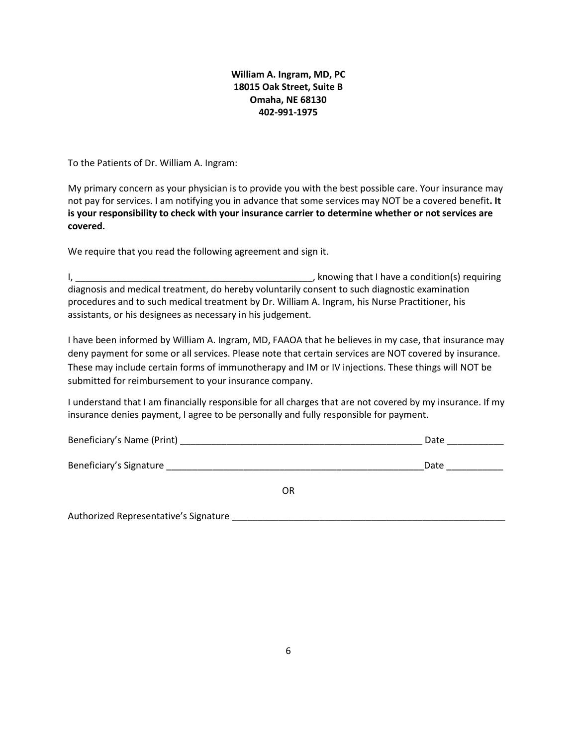## **William A. Ingram, MD, PC 18015 Oak Street, Suite B Omaha, NE 68130 402-991-1975**

To the Patients of Dr. William A. Ingram:

My primary concern as your physician is to provide you with the best possible care. Your insurance may not pay for services. I am notifying you in advance that some services may NOT be a covered benefit**. It is your responsibility to check with your insurance carrier to determine whether or not services are covered.**

We require that you read the following agreement and sign it.

Authorized Representative's Signature \_\_\_\_\_\_\_\_\_\_\_\_\_\_\_\_\_\_\_\_\_\_\_\_\_\_\_\_\_\_\_\_\_\_\_\_\_\_\_\_\_\_\_\_\_\_\_\_\_\_\_\_\_

I, \_\_\_\_\_\_\_\_\_\_\_\_\_\_\_\_\_\_\_\_\_\_\_\_\_\_\_\_\_\_\_\_\_\_\_\_\_\_\_\_\_\_\_\_\_\_, knowing that I have a condition(s) requiring diagnosis and medical treatment, do hereby voluntarily consent to such diagnostic examination procedures and to such medical treatment by Dr. William A. Ingram, his Nurse Practitioner, his assistants, or his designees as necessary in his judgement.

I have been informed by William A. Ingram, MD, FAAOA that he believes in my case, that insurance may deny payment for some or all services. Please note that certain services are NOT covered by insurance. These may include certain forms of immunotherapy and IM or IV injections. These things will NOT be submitted for reimbursement to your insurance company.

I understand that I am financially responsible for all charges that are not covered by my insurance. If my insurance denies payment, I agree to be personally and fully responsible for payment.

| Beneficiary's Name (Print) |    | Date |
|----------------------------|----|------|
|                            |    |      |
| Beneficiary's Signature    |    | Date |
|                            | 0R |      |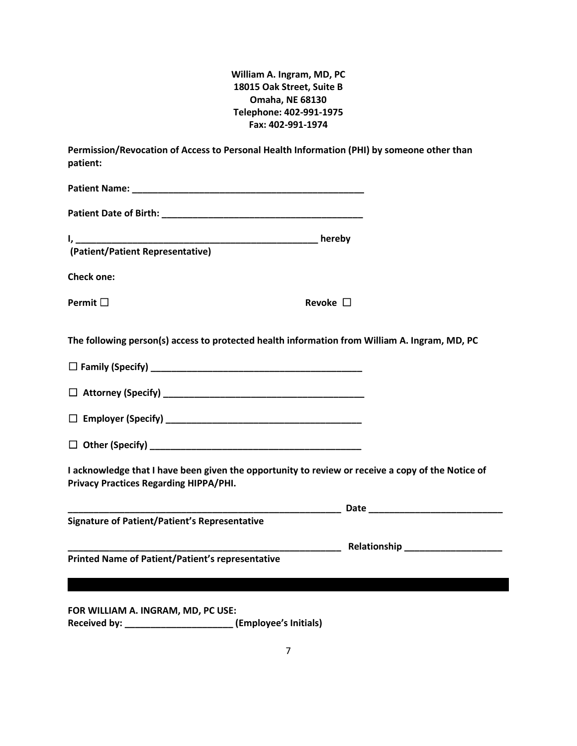**William A. Ingram, MD, PC 18015 Oak Street, Suite B Omaha, NE 68130 Telephone: 402-991-1975 Fax: 402-991-1974**

| Permission/Revocation of Access to Personal Health Information (PHI) by someone other than<br>patient: |                                                                                                   |
|--------------------------------------------------------------------------------------------------------|---------------------------------------------------------------------------------------------------|
|                                                                                                        |                                                                                                   |
|                                                                                                        |                                                                                                   |
|                                                                                                        |                                                                                                   |
| <b>Check one:</b>                                                                                      |                                                                                                   |
| Permit $\Box$                                                                                          | Revoke $\Box$                                                                                     |
| The following person(s) access to protected health information from William A. Ingram, MD, PC          |                                                                                                   |
|                                                                                                        |                                                                                                   |
|                                                                                                        |                                                                                                   |
|                                                                                                        |                                                                                                   |
|                                                                                                        |                                                                                                   |
| <b>Privacy Practices Regarding HIPPA/PHI.</b>                                                          | I acknowledge that I have been given the opportunity to review or receive a copy of the Notice of |
|                                                                                                        |                                                                                                   |
| <b>Signature of Patient/Patient's Representative</b>                                                   |                                                                                                   |
| <b>Printed Name of Patient/Patient's representative</b>                                                |                                                                                                   |
|                                                                                                        |                                                                                                   |
| FOR WILLIAM A. INGRAM, MD, PC USE:                                                                     |                                                                                                   |

**Received by: \_\_\_\_\_\_\_\_\_\_\_\_\_\_\_\_\_\_\_\_\_ (Employee's Initials)**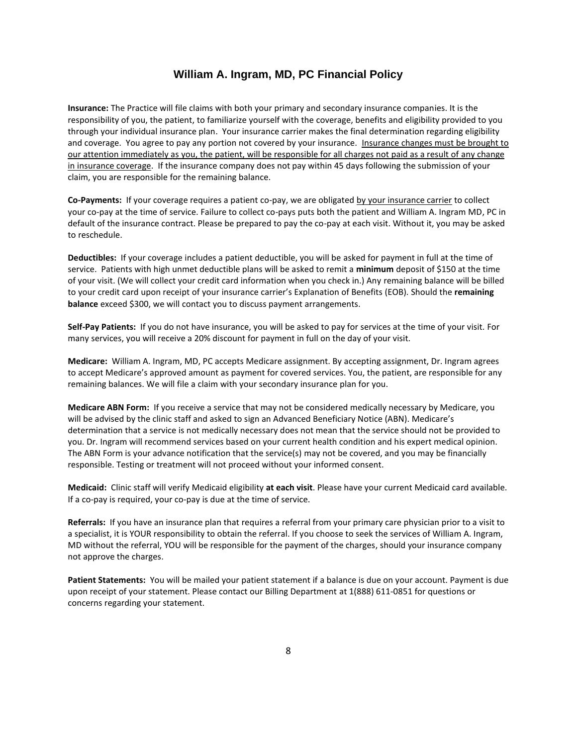### **William A. Ingram, MD, PC Financial Policy**

**Insurance:** The Practice will file claims with both your primary and secondary insurance companies. It is the responsibility of you, the patient, to familiarize yourself with the coverage, benefits and eligibility provided to you through your individual insurance plan. Your insurance carrier makes the final determination regarding eligibility and coverage. You agree to pay any portion not covered by your insurance. Insurance changes must be brought to our attention immediately as you, the patient, will be responsible for all charges not paid as a result of any change in insurance coverage. If the insurance company does not pay within 45 days following the submission of your claim, you are responsible for the remaining balance.

**Co-Payments:** If your coverage requires a patient co-pay, we are obligated by your insurance carrier to collect your co-pay at the time of service. Failure to collect co-pays puts both the patient and William A. Ingram MD, PC in default of the insurance contract. Please be prepared to pay the co-pay at each visit. Without it, you may be asked to reschedule.

**Deductibles:** If your coverage includes a patient deductible, you will be asked for payment in full at the time of service. Patients with high unmet deductible plans will be asked to remit a **minimum** deposit of \$150 at the time of your visit. (We will collect your credit card information when you check in.) Any remaining balance will be billed to your credit card upon receipt of your insurance carrier's Explanation of Benefits (EOB). Should the **remaining balance** exceed \$300, we will contact you to discuss payment arrangements.

**Self-Pay Patients:** If you do not have insurance, you will be asked to pay for services at the time of your visit. For many services, you will receive a 20% discount for payment in full on the day of your visit.

**Medicare:** William A. Ingram, MD, PC accepts Medicare assignment. By accepting assignment, Dr. Ingram agrees to accept Medicare's approved amount as payment for covered services. You, the patient, are responsible for any remaining balances. We will file a claim with your secondary insurance plan for you.

**Medicare ABN Form:** If you receive a service that may not be considered medically necessary by Medicare, you will be advised by the clinic staff and asked to sign an Advanced Beneficiary Notice (ABN). Medicare's determination that a service is not medically necessary does not mean that the service should not be provided to you. Dr. Ingram will recommend services based on your current health condition and his expert medical opinion. The ABN Form is your advance notification that the service(s) may not be covered, and you may be financially responsible. Testing or treatment will not proceed without your informed consent.

**Medicaid:** Clinic staff will verify Medicaid eligibility **at each visit**. Please have your current Medicaid card available. If a co-pay is required, your co-pay is due at the time of service.

**Referrals:** If you have an insurance plan that requires a referral from your primary care physician prior to a visit to a specialist, it is YOUR responsibility to obtain the referral. If you choose to seek the services of William A. Ingram, MD without the referral, YOU will be responsible for the payment of the charges, should your insurance company not approve the charges.

**Patient Statements:** You will be mailed your patient statement if a balance is due on your account. Payment is due upon receipt of your statement. Please contact our Billing Department at 1(888) 611-0851 for questions or concerns regarding your statement.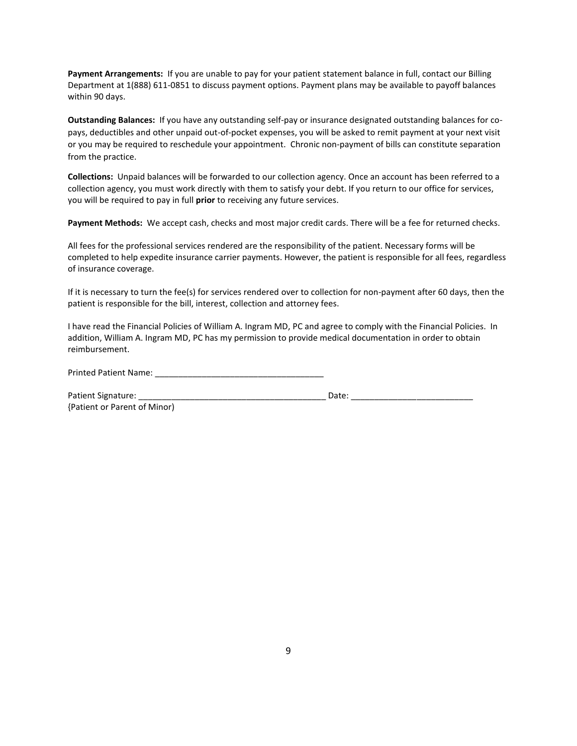**Payment Arrangements:** If you are unable to pay for your patient statement balance in full, contact our Billing Department at 1(888) 611-0851 to discuss payment options. Payment plans may be available to payoff balances within 90 days.

**Outstanding Balances:** If you have any outstanding self-pay or insurance designated outstanding balances for copays, deductibles and other unpaid out-of-pocket expenses, you will be asked to remit payment at your next visit or you may be required to reschedule your appointment. Chronic non-payment of bills can constitute separation from the practice.

**Collections:** Unpaid balances will be forwarded to our collection agency. Once an account has been referred to a collection agency, you must work directly with them to satisfy your debt. If you return to our office for services, you will be required to pay in full **prior** to receiving any future services.

**Payment Methods:** We accept cash, checks and most major credit cards. There will be a fee for returned checks.

All fees for the professional services rendered are the responsibility of the patient. Necessary forms will be completed to help expedite insurance carrier payments. However, the patient is responsible for all fees, regardless of insurance coverage.

If it is necessary to turn the fee(s) for services rendered over to collection for non-payment after 60 days, then the patient is responsible for the bill, interest, collection and attorney fees.

I have read the Financial Policies of William A. Ingram MD, PC and agree to comply with the Financial Policies. In addition, William A. Ingram MD, PC has my permission to provide medical documentation in order to obtain reimbursement.

Printed Patient Name: \_\_\_\_\_

| Patient Signature:           | Date: |  |
|------------------------------|-------|--|
| {Patient or Parent of Minor) |       |  |

9